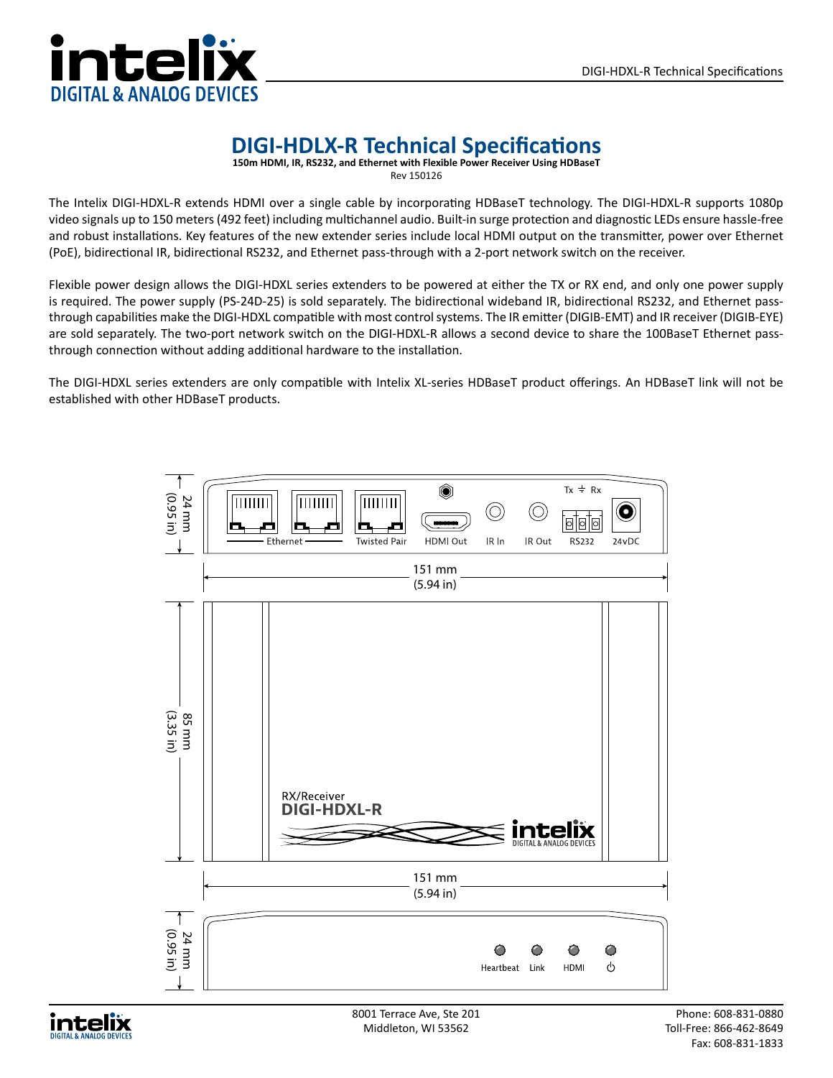

## **DIGI-HDLX-R Technical Specifications**

**150m HDMI, IR, RS232, and Ethernet with Flexible Power Receiver Using HDBaseT**

Rev 150126

The Intelix DIGI-HDXL-R extends HDMI over a single cable by incorporating HDBaseT technology. The DIGI-HDXL-R supports 1080p video signals up to 150 meters (492 feet) including multichannel audio. Built-in surge protection and diagnostic LEDs ensure hassle-free and robust installations. Key features of the new extender series include local HDMI output on the transmitter, power over Ethernet (PoE), bidirectional IR, bidirectional RS232, and Ethernet pass-through with a 2-port network switch on the receiver.

Flexible power design allows the DIGI-HDXL series extenders to be powered at either the TX or RX end, and only one power supply is required. The power supply (PS-24D-25) is sold separately. The bidirectional wideband IR, bidirectional RS232, and Ethernet passthrough capabilities make the DIGI-HDXL compatible with most control systems. The IR emitter (DIGIB-EMT) and IR receiver (DIGIB-EYE) are sold separately. The two-port network switch on the DIGI-HDXL-R allows a second device to share the 100BaseT Ethernet passthrough connection without adding additional hardware to the installation.

The DIGI-HDXL series extenders are only compatible with Intelix XL-series HDBaseT product offerings. An HDBaseT link will not be established with other HDBaseT products.



intelix